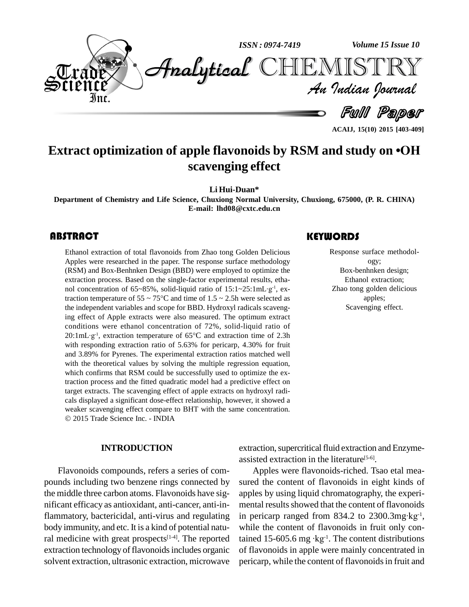

**Extract optimization of apple flavonoids by RSM and study on ïOH scavenging effect**

**Li Hui-Duan\***

**Department of Chemistry and Life Science, Chuxiong Normal University, Chuxiong, 675000, (P. R. CHINA) E-mail: [lhd08@cxtc.edu.cn](mailto:lhd08@cxtc.edu.cn)**

#### **ABSTRACT**

Ethanol extraction of to<br>Apples were researched<br>(RSM) and Box-Benhnk Ethanol extraction of total flavonoids from Zhao tong Golden Delicious Apples were researched in the paper. The response surface methodology (RSM) and Box-Benhnken Design (BBD) were employed to optimize the extraction process. Based on the single-factor experimental results, etha- (RSM) and Box-Benhnken Design (BBD) were employed to optimize the extraction process. Based on the single-factor experimental results, ethanol concentration of  $65~85\%$ , solid-liquid ratio of  $15:1~25:1 \text{mL·g}^{-1}$ , ex- $, ex$ traction temperature of  $55 \sim 75^{\circ}$ C and time of  $1.5 \sim 2.5$ h were selected as the independent variables and scope for BBD. Hydroxyl radicals scavenging effect of Apple extracts were also measured. The optimum extract conditions were ethanol concentration of 72%, solid-liquid ratio of ing effect of Apple extracts were also measured. The optimum extract<br>conditions were ethanol concentration of 72%, solid-liquid ratio of<br>20:1mL·g<sup>-1</sup>, extraction temperature of 65°C and extraction time of 2.3h  $20:1mL·g<sup>-1</sup>$ , extraction temperature of 65 $°C$  and extraction time of 2.3h with responding extraction ratio of 5.63% for pericarp, 4.30% for fruit and 3.89% for Pyrenes. The experimental extraction ratios matched well with the theoretical values by solving the multiple regression equation, which confirms that RSM could be successfully used to optimize the extraction process and the fitted quadratic model had a predictive effect on target extracts. The scavenging effect of apple extracts on hydroxyl radi cals displayed a significant dose-effect relationship, however, it showed a weaker scavenging effect compare to BHT with the same concentration. 2015 Trade Science Inc. - INDIA

#### **INTRODUCTION**

Flavonoids compounds, refers a series of com pounds including two benzene rings connected by the middle three carbon atoms. Flavonoids have sig nificant efficacy as antioxidant, anti-cancer, anti-inflammatory, bactericidal, anti-virus and regulating body immunity, and etc. It is a kind of potential natural medicine with great prospects $[1-4]$ . The reported tained extraction technology of flavonoids includes organic solvent extraction, ultrasonic extraction, microwave

#### **KEYWORDS**

Response surface m<br>ogy;<br>Box-benhnken de Response surface methodol ogy; Box-benhnken design; Ethanol extraction; Zhao tong golden delicious apples; Scavenging effect.

**ACAIJ, 15(10) 2015 [403-409]**

extraction, supercritical fluid extraction and Enzymeassisted extraction in the literature<sup>[5-6]</sup>.

Apples were flavonoids-riched. Tsao etal mea sured the content of flavonoids in eight kinds of apples by using liquid chromatography, the experi mental results showed that the content of flavonoids apples by using liquid chromatography, the experi-<br>mental results showed that the content of flavonoids<br>in pericarp ranged from 834.2 to 2300.3mg·kg<sup>-1</sup>,  $^{-1}$ , while the content of flavonoids in fruit only conin pericarp ranged from 834.2 to 2300.3mg·kg<sup>-1</sup>,<br>while the content of flavonoids in fruit only con-<br>tained 15-605.6 mg ·kg<sup>-1</sup>. The content distributions of flavonoids in apple were mainly concentrated in pericarp, while the content of flavonoids in fruit and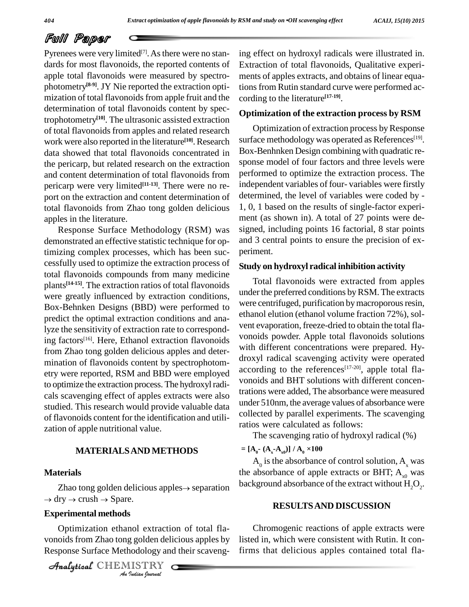Pyrenees were very limited $[7]$ . As there were no stan- ing dards for most flavonoids, the reported contents of apple total flavonoids were measured by spectro photometry **[8-9]**. JY Nie reported the extraction opti mization of total flavonoids from apple fruit and the determination of total flavonoids content by spectrophotometry **[10]**. The ultrasonic assisted extraction of total flavonoids from apples and related research work were also reported in the literature<sup>[10]</sup>. Research surface data showed that total flavonoids concentrated in the pericarp, but related research on the extraction and content determination of total flavonoids from pericarp were very limited **[11-13]**. There were no re port on the extraction and content determination of total flavonoids from Zhao tong golden delicious apples in the literature.

Response Surface Methodology (RSM) was demonstrated an effective statistic technique for optimizing complex processes, which has been suc cessfully used to optimize the extraction process of total flavonoids compounds from many medicine plants<sup>[14-15]</sup>. The extraction ratios of total flavonoids were greatly influenced by extraction conditions, Box-Behnken Designs (BBD) were performed to predict the optimal extraction conditions and analyze the sensitivity of extraction rate to corresponding factors<sup>[16]</sup>. Here, Ethanol extraction flavonoids  $\frac{1000}{100}$ from Zhao tong golden delicious apples and deter mination of flavonoids content by spectrophotom etry were reported, RSM and BBD were employed to optimize the extraction process. The hydroxyl radicals scavenging effect of apples extracts were also studied. This research would provide valuable data of flavonoids content for the identification and utili zation of apple nutritional value.

#### **MATERIALSAND METHODS**

#### **Materials**

terials<br>Zhao tong golden delicious apples→ separation backgr Zhao tong golden delicious a<br>dry  $\rightarrow$  crush  $\rightarrow$  Spare.

### $\boldsymbol{\mathrm{Experimental\, methods}}$

**I**<br>*I* golden deli<br>*I* dodology and<br>*IISTRY* Optimization ethanol extraction of total flavonoids from Zhao tong golden delicious apples by Response Surface Methodology and their scavenging effect on hydroxyl radicals were illustrated in. Extraction of total flavonoids, Qualitative experi ments of apples extracts, and obtains of linear equations from Rutin standard curve were performed according to the literature **[17-19]**.

#### **Optimization of the extraction process by RSM**

Optimization of extraction process byResponse surface methodology was operated as References<sup>[19]</sup>. Box-Benhnken Design combining with quadratic re sponse model of four factors and three levels were performed to optimize the extraction process. The independent variables of four- variables were firstly determined, the level of variables were coded by - 1, 0, 1 based on the results of single-factor experi ment (as shown in). A total of 27 points were de signed, including points 16 factorial, 8 star points and 3 central points to ensure the precision of ex periment.

#### **Study on hydroxyl radical inhibition activity**

Total flavonoids were extracted from apples under the preferred conditions byRSM. The extracts were centrifuged, purification by macroporous resin, ethanol elution (ethanol volume fraction 72%), sol vent evaporation, freeze-dried to obtain the total fla vonoids powder. Apple total flavonoids solutions with different concentrations were prepared. Hy droxyl radical scavenging activity were operated according to the references<sup>[17-20]</sup>, apple total flavonoids and BHT solutions with different concentrations were added, The absorbance were measured under 510nm, the average values of absorbance were collected by parallel experiments. The scavenging ratios were calculated as follows:

The scavenging ratio of hydroxyl radical (%)<br>=  $[A_0 - (A_x - A_{x0})] / A_0 \times 100$ 

 $A_0$  is the absorbance of control solution,  $A_x$  was the absorbance of apple extracts or BHT;  $A_{v0}$  was background absorbance of the extract without  $\mathrm{H}_{2}\mathrm{O}_{2}$ .

#### **RESULTSAND DISCUSSION**

Chromogenic reactions of apple extracts were listed in, which were consistent with Rutin. It confirms that delicious apples contained total fla-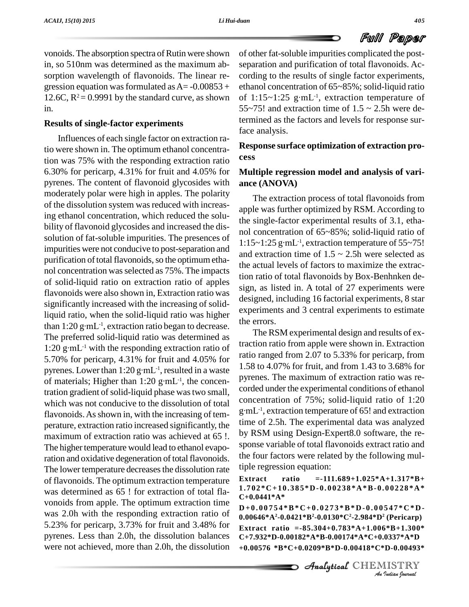vonoids. The absorption spectra of Rutin were shown in, so 510nm was determined as the maximum ab sorption wavelength of flavonoids. The linear regression equation was formulated as  $A = -0.00853 +$ 12.6C,  $R^2$  = 0.9991 by the standard curve, as shown in.

#### **Results of single-factor experiments**

Influences of each single factor on extraction ratio were shown in. The optimum ethanol concentration was 75% with the responding extraction ratio 6.30% for pericarp, 4.31% for fruit and 4.05% for pyrenes. The content of flavonoid glycosides with moderately polar were high in apples. The polarity of the dissolution system was reduced with increasing ethanol concentration, which reduced the solu bility of flavonoid glycosides and increased the dis solution of fat-soluble impurities. The presences of impurities were not conducive to post-separation and purification of total flavonoids, so the optimum ethanol concentration wasselected as 75%. The impacts of solid-liquid ratio on extraction ratio of apples flavonoids were also shown in, Extraction ratio was significantly increased with the increasing of solidliquid ratio, when the solid-liquid ratio was higher significantly increased with the increasing of solid-<br>liquid ratio, when the solid-liquid ratio was higher<br>than 1:20 g·mL<sup>-1</sup>, extraction ratio began to decrease.<br>The preferred solid-liquid ratio was determined as<br>1:20 g· The preferred solid-liquid ratio was determined as  $1:20$  g·mL<sup>-1</sup> with the responding extraction ratio of 5.70% for pericarp, 4.31% for fruit and 4.05% for 1:20 g·mL<sup>-1</sup> with the responding extraction ratio of<br>5.70% for pericarp, 4.31% for fruit and 4.05% for ratio 1<br>pyrenes. Lower than 1:20 g·mL<sup>-1</sup>, resulted in a waste 1.58 t 5.70% for pericarp, 4.31% for fruit and 4.05%<br>pyrenes. Lower than 1:20 g·mL<sup>-1</sup>, resulted in a wa<br>of materials; Higher than 1:20 g·mL<sup>-1</sup>, the conce  $t^{-1}$ , the concentration gradient of solid-liquid phase was two small, which was not conducive to the dissolution of total flavonoids. As shown in, with the increasing of temperature, extraction ratio increased significantly, the maximum of extraction ratio was achieved at 65 !. The higher temperature would lead to ethanol evaporation and oxidative degeneration of total flavonoids. The lower temperature decreases the dissolution rate of flavonoids. The optimum extraction temperature Extract was determined as 65 ! for extraction of total fla vonoids from apple. The optimum extraction time was 2.0h with the responding extraction ratio of 5.23% for pericarp, 3.73% for fruit and 3.48% for pyrenes. Less than 2.0h, the dissolution balances were not achieved, more than 2.0h, the dissolution

of other fat-soluble impurities complicated the post separation and purification of total flavonoids. Ac cording to the results of single factor experiments,<br>ethanol concentration of  $65 \sim 85\%$ ; solid-liquid ratio<br>of  $1:15 \sim 1:25$  g·mL<sup>-1</sup>, extraction temperature of ethanol concentration of 65~85%; solid-liquid ratio -1 , extraction temperature of 55~75! and extraction time of  $1.5 \sim 2.5$ h were determined as the factors and levels for response surface analysis.

**Response surface optimization of extraction pro cess**

#### **Multiple regression model and analysis of vari ance (ANOVA)**

The extraction process of total flavonoids from apple was further optimized by RSM. According to the single-factor experimental results of 3.1, etha-<br>nol concentration of 65~85%; solid-liquid ratio of<br>1:15~1:25 g·mL<sup>-1</sup>, extraction temperature of 55~75! nol concentration of 65~85%; solid-liquid ratio of -1 , extraction temperature of 55~75! and extraction time of  $1.5 \approx 2.5$ h were selected as the actual levels of factors to maximize the extraction ratio of total flavonoids by Box-Benhnken de sign, as listed in. A total of 27 experiments were designed, including 16 factorial experiments, 8 star experiments and 3 central experiments to estimate the errors.

The RSM experimental design and results of extraction ratio from applewere shown in. Extraction ratio ranged from 2.07 to 5.33% for pericarp, from 1.58 to 4.07% for fruit, and from 1.43 to 3.68% for pyrenes. The maximum of extraction ratio was re corded under the experimental conditions of ethanol<br>concentration of 75%; solid-liquid ratio of 1:20<br>g·mL<sup>-1</sup>, extraction temperature of 65! and extraction concentration of  $75\%$ ; solid-liquid ratio of 1:20 -1 , extraction temperature of 65! and extraction time of 2.5h. The experimental data was analyzed by RSM using Design-Expert8.0 software, the re sponse variable of total flavonoids extract ratio and the four factors were related by the following multiple regression equation:

#### **Extract ratio =-111.689+1.025\*A+1.317\*B+**  $1.702*C+10.385*D-0.00238*A*B-0.00228*A*$ **C+0.0441\*A\***

 ${\bf D+0.00754*B*C+0.0273*B*D-0.00547*C*D}$ 547\*C\*D-<br><sup>2</sup> (Pericarp)<br>5\*B+1.300\*<br>0337\*A\*D<br>D-0.00493\*<br>IISTRY Analytical**0.00646\*A<sup>2</sup>-0.0421\*B <sup>2</sup>-0.0130\*C<sup>2</sup>-2.984\*D<sup>2</sup> (Pericarp) Extract ratio =-85.304+0.783\*A+1.006\*B+1.300\* C+7.932\*D-0.00182\*A\*B-0.00174\*A\*C+0.0337\*A\*D +0.00576 \*B\*C+0.0209\*B\*D-0.00418\*C\*D-0.00493\***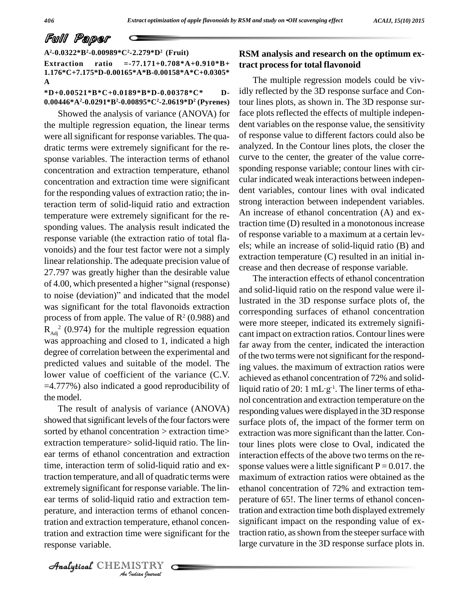**A<sup>2</sup>-0.0322\*B <sup>2</sup>-0.00989\*C<sup>2</sup>-2.279\*D<sup>2</sup> (Fruit)**

**Extraction ratio =-77.171+0.708\*A+0.910\*B+ 1.176\*C+7.175\*D-0.00165\*A\*B-0.00158\*A\*C+0.0305\* A**

#### **\*D+0.00521\*B\*C+0.0189\*B\*D-0.00378\*C\* D- 0.00446\*A<sup>2</sup>-0.0291\*B <sup>2</sup>-0.00895\*C<sup>2</sup>-2.0619\*D<sup>2</sup> (Pyrenes)**

Showed the analysis of variance (ANOVA) for the multiple regression equation, the linear terms were all significant for response variables. The quadratic terms were extremely significant for the re sponse variables. The interaction terms of ethanol concentration and extraction temperature, ethanol concentration and extraction time were significant for the responding values of extraction ratio; the interaction term of solid-liquid ratio and extraction temperature were extremely significant for the re sponding values. The analysis result indicated the response variable (the extraction ratio of total fla vonoids) and the four test factor were not a simply linear relationship. The adequate precision value of 27.797 was greatly higher than the desirable value linear relationship. The adequate precision value of<br>27.797 was greatly higher than the desirable value<br>of 4.00, which presented a higher "signal (response) 27.797 was greatly higher than the desirable value<br>of 4.00, which presented a higher "signal (response)<br>to noise (deviation)" and indicated that the model was significant for the total flavonoids extraction process of from apple. The value of  $\mathbb{R}^2$  (0.988) and  $R_{\text{Adj}}^2$  (0.974) for the multiple regression equation cant in was approaching and closed to 1, indicated a high degree of correlation between the experimental and predicted values and suitable of the model. The lower value of coefficient of the variance (C.V. =4.777%) also indicated a good reproducibility of the model.

perature, and interaction terms of ethanol concen-*I*nderms of a<br>*Indian* were signal<br>*IISTRY* The result of analysis of variance (ANOVA) showed that significant levels of the four factors were sorted by ethanol concentration > extraction time> extraction temperature> solid-liquid ratio. The lin ear terms of ethanol concentration and extraction time, interaction term of solid-liquid ratio and extraction temperature, and all of quadratic terms were extremely significant for response variable. The lin ear terms of solid-liquid ratio and extraction tem tration and extraction temperature, ethanol concentration and extraction time were significant for the response variable.

#### **RSM analysis and research on the optimum extract process for total flavonoid**

The multiple regression models could be vividly reflected by the 3D response surface and Contour lines plots, as shown in. The 3D response surface plots reflected the effects of multiple indepen dent variables on the response value, the sensitivity of response value to different factors could also be analyzed. In the Contour lines plots, the closer the curve to the center, the greater of the value corre sponding response variable; contour lines with cir cular indicated weak interactions between indepen dent variables, contour lines with oval indicated strong interaction between independent variables. An increase of ethanol concentration (A) and extraction time (D) resulted in a monotonous increase of response variable to a maximum at a certain lev els; while an increase of solid-liquid ratio (B) and extraction temperature (C) resulted in an initial in crease and then decrease of response variable.

The interaction effects of ethanol concentration and solid-liquid ratio on the respond value were illustrated in the 3D response surface plots of, the corresponding surfaces of ethanol concentration were more steeper, indicated its extremely signifi cant impact on extraction ratios. Contour lines were far away from the center, indicated the interaction of the two terms were not significant for the responding values. the maximum of extraction ratios were<br>achieved as ethanol concentration of 72% and solid-<br>liquid ratio of 20: 1 mL·g<sup>-1</sup>. The liner terms of ethaachieved as ethanol concentration of 72% and solid--1 . The liner terms of etha nol concentration and extraction temperature on the responding values were displayed in the 3D response surface plots of, the impact of the former term on extraction was more significant than the latter. Contour lines plots were close to Oval, indicated the interaction effects of the above two terms on the re sponse values were a little significant  $P = 0.017$ . the maximum of extraction ratios were obtained as the ethanol concentration of 72% and extraction tem perature of 65!. The liner terms of ethanol concentration and extraction time both displayed extremely significant impact on the responding value of extraction ratio, as shown from the steeper surface with large curvature in the 3D response surface plots in.

CHEMISTRY COMPANY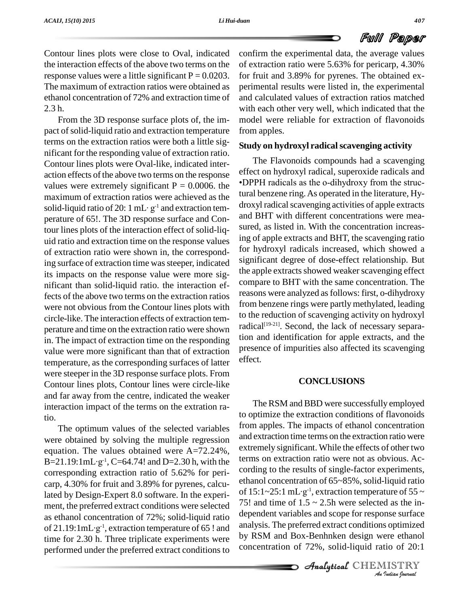Contour lines plots were close to Oval, indicated the interaction effects of the above two terms on the response values were a little significant  $P = 0.0203$ . The maximum of extraction ratios were obtained as ethanol concentration of 72% and extraction time of 2.3 h.

From the 3D response surface plots of, the im pact of solid-liquid ratio and extraction temperature terms on the extraction ratios were both a little sig nificant for the responding value of extraction ratio. Contour lines plots were Oval-like, indicated inter action effects of the above two terms on the response<br>values were extremely significant  $P = 0.0006$  the • DPPH radicals as the o-dihydroxy from the strucvalues were extremely significant  $P = 0.0006$ . the maximum of extraction ratios were achieved as the values were extremely significant  $P = 0.0006$ . the  $vDP$  maximum of extraction ratios were achieved as the tura solid-liquid ratio of 20: 1 mL· g<sup>-1</sup> and extraction temperature of 65!. The 3D response surface and Contour lines plots of the interaction effect of solid-liq uid ratio and extraction time on the response values of extraction ratio were shown in, the corresponding surface of extraction time was steeper, indicated its impacts on the response value were more sig nificant than solid-liquid ratio. the interaction effects of the above two terms on the extraction ratios were not obvious from the Contour lines plots with circle-like. The interaction effects of extraction tem perature and time on the extraction ratio were shown in. The impact of extraction time on the responding value were more significant than that of extraction temperature, as the corresponding surfaces of latter were steeper in the 3D response surface plots. From Contour lines plots, Contour lines were circle-like and far away from the centre, indicated the weaker interaction impact of the terms on the extration ratio.

The optimum values of the selected variables were obtained by solving the multiple regression equation. The values obtained were  $A=72.24\%$ ,  $R_X$ were obtained by solving<br>equation. The values ob<br> $B=21.19:1mL·g<sup>-1</sup>, C=64.7$  $^{-1}$ , C=64.74! and D=2.30 h, with the <sup>terms</sup> corresponding extraction ratio of 5.62% for peri carp, 4.30% for fruit and 3.89% for pyrenes, calculated by Design-Expert 8.0 software. In the experi ment, the preferred extract conditions were selected as ethanol concentration of 72%; solid-liquid ratio ment, the preferred extract conditions were selected <br>as ethanol concentration of 72%; solid-liquid ratio depend<br>of 21.19:1mL·g<sup>-1</sup>, extraction temperature of 65 ! and analysis time for 2.30 h. Three triplicate experiments were performed under the preferred extract conditions to

confirm the experimental data, the average values of extraction ratio were 5.63% for pericarp, 4.30% for fruit and 3.89% for pyrenes. The obtained ex perimental results were listed in, the experimental and calculated values of extraction ratios matched with each other very well, which indicated that the model were reliable for extraction of flavonoids from apples.

#### **Study on hydroxyl radicalscavenging activity**

The Flavonoids compounds had a scavenging<br>effect on hydroxyl radical, superoxide radicals and<br>•DPPH radicals as the o-dihydroxy from the struceffect on hydroxyl radical, superoxide radicals and tural benzene ring.As operated in the literature, Hy droxyl radical scavenging activities of apple extracts and BHT with different concentrations were mea sured, as listed in. With the concentration increasing of apple extracts and BHT, the scavenging ratio for hydroxyl radicals increased, which showed a significant degree of dose-effect relationship. But the apple extracts showed weaker scavenging effect compare to BHT with the same concentration. The reasons were analyzed asfollows: first, o-dihydroxy from benzene rings were partly methylated, leading to the reduction of scavenging activity on hydroxyl radical [19-21]. Second, the lack of necessary separation and identification for apple extracts, and the presence of impurities also affected its scavenging effect.

#### **CONCLUSIONS**

*A* dependent variables and scope for response surface *Inse surface*<br>*Indian Indian*<br>*IISTRY*<br>*IISTRY*<br>*Indian Ipernad* The RSM and BBD were successfully employed to optimize the extraction conditions of flavonoids from apples. The impacts of ethanol concentration and extraction time terms on the extraction ratio were extremely significant. While the effects of other two terms on extraction ratio were not as obvious. Ac cording to the results of single-factor experiments,<br>ethanol concentration of  $65~85\%$ , solid-liquid ratio<br>of  $15:1~25:1~\text{mL·g}^{-1}$ , extraction temperature of  $55~\sim$ ethanol concentration of 65~85%, solid-liquid ratio <sup>-1</sup>, extraction temperature of 55  $\sim$ 75! and time of  $1.5 \sim 2.5$ h were selected as the inanalysis. The preferred extract conditions optimized by RSM and Box-Benhnken design were ethanol concentration of  $72\%$ , solid-liquid ratio of  $20:1$ 

**Analytical** CHEMISTRY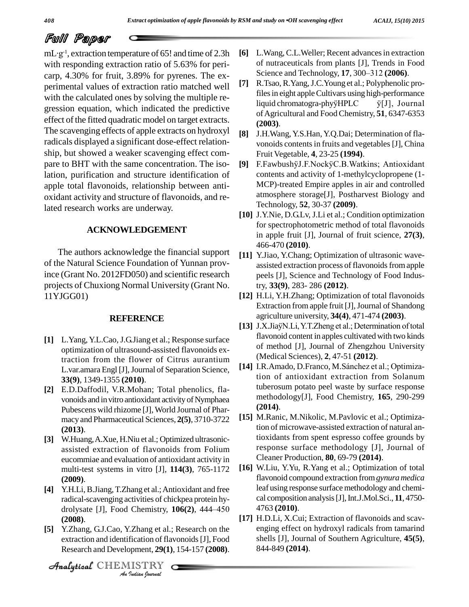# **Full Paper**<br>mL·g<sup>-1</sup>, extraction temperature

<sup>-1</sup>, extraction temperature of 65! and time of 2.3h [6] L. with responding extraction ratio of 5.63% for peri carp, 4.30% for fruit, 3.89% for pyrenes. The ex-<br>perimental values of extraction ratio matched well [7] perimental values of extraction ratio matched well with the calculated ones by solving the multiple re which indicated the predictive  $\frac{1}{2}$  is  $\frac{1}{2}$  indicated the predictive  $\frac{1}{2}$  is  $\frac{1}{2}$  in  $\frac{1}{2}$  in  $\frac{1}{2}$  in  $\frac{1}{2}$  in  $\frac{1}{2}$  in  $\frac{1}{2}$  in  $\frac{1}{2}$  in  $\frac{1}{2}$  in  $\frac{1}{2}$  in  $\frac{1}{2}$  in effect of the fitted quadratic model on target extracts. The scavenging effects of apple extracts on hydroxyl radicals displayed a significant dose-effect relation ship, but showed a weaker scavenging effect com pare to BHT with the same concentration. The isolation, purification and structure identification of apple total flavonoids, relationship between anti oxidant activity and structure of flavonoids, and related research works are underway.

#### **ACKNOWLEDGEMENT**

The authors acknowledge the financial support of the Natural Science Foundation of Yunnan province (Grant No. 2012FD050) and scientific research projects of Chuxiong Normal University (Grant No. 11YJGG01)

#### **REFERENCE**

- **[1]** L.Yang,Y.L.Cao,J.G.Jiang et al.; Response surface optimization of ultrasound-assisted flavonoids extraction from the flower of Citrus aurantium L.var.amara Engl [J], Journal of Separation Science, **33(9)**, 1349-1355 **(2010)**.
- **[2]** E.D.Daffodil, V.R.Mohan; Total phenolics, fla vonoids and in vitro antioxidant activity of Nymphaea Pubescens wild rhizome [J], World Journal of Pharmacy and Pharmaceutical Sciences, **2(5)**, 3710-3722 **(2013)**.
- **[3]** W.Huang,A.Xue, H.Niu et al.; Optimized ultrasonic assisted extraction of flavonoids from Folium eucommiae and evaluation of antioxidant activity in multi-test systems in vitro [J], **114(3)**, 765-1172 **(2009)**.
- *drolysate* [J], Food **[4]** Y.H.Li, B.Jiang, T.Zhang et al.; Antioxidant and free radical-scavenging activities of chickpea protein hy-<br>drolysate [J], Food Chemistry, **106(2)**, 444–450 4 radical-scavenging activities of chickpea protein hy- **(2008)**.
- *I*<br>*I*. Zhang et al.:<br>*I*ication of fla<br>ppment, 29(1)<br>*IISTRY* **[5]** Y.Zhang, G.J.Cao, Y.Zhang et al.; Research on the extraction and identification of flavonoids[J], Food Research and Development, **29(1)**, 154-157 **(2008)**.

CHEMISTRY COMPANY

- **[6]** L.Wang, C.L.Weller; Recent advancesin extraction of nutraceuticals from plants [J], Trends in Food L. Wang, C.L. Weller; Recent advances in extraction<br>of nutraceuticals from plants [J], Trends in Food<br>Science and Technology, 17, 300–312 (2006).
- **[7]** R.Tsao,R.Yang,J.C.Young et al.; Polyphenolic profiles in eight apple Cultivars using high-performance liquid chromatogra-phyˇHPLC ˇ[J], Journal ofAgricultural and FoodChemistry, **51**, 6347-6353 **(2003)**.
- **[8]** J.H.Wang, Y.S.Han,Y.Q.Dai; Determination of fla vonoids contents in fruits and vegetables [J], China Fruit Vegetable, **4**, 23-25 **(1994)**.
- [9] F.FawbushÿJ.F.NockÿC.B.Watkins; Antioxidant contents and activity of 1-methylcyclopropene (1- MCP)-treated Empire apples in air and controlled atmosphere storage[J], Postharvest Biology and Technology, **52**, 30-37 **(2009)**.
- **[10]** J.Y.Nie, D.G.Lv, J.Li et al.; Condition optimization for spectrophotometric method of total flavonoids in apple fruit [J], Journal of fruit science, **27(3)**, 466-470 **(2010)**.
- **[11]** Y.Jiao, Y.Chang; Optimization of ultrasonic wave assisted extraction process of flavonoids from apple peels [J], Science and Technology of Food Industry, **33(9)**, 283- 286 **(2012)**.
- **[12]** H.Li, Y.H.Zhang; Optimization of total flavonoids Extraction from apple fruit [J], Journal of Shandong agriculture university, **34(4)**, 471-474 **(2003)**.
- [13] J.X.JiaÿN.Li, Y.T.Zheng et al.; Determination of total flavonoid content in apples cultivated with two kinds of method [J], Journal of Zhengzhou University (Medical Sciences), **2**, 47-51 **(2012)**.
- [14] I.R.Amado, D.Franco, M.Sánchez et al.; Optimization of antioxidant extraction from Solanum tuberosum potato peel waste by surface response methodology[J], Food Chemistry, **165**, 290-299 **(2014)**.
- **[15]** M.Ranic, M.Nikolic, M.Pavlovic et al.; Optimization of microwave-assisted extraction of natural antioxidants from spent espresso coffee grounds by response surface methodology [J], Journal of Cleaner Production, **80**, 69-79 **(2014)**.
- **[16]** W.Liu, Y.Yu, R.Yang et al.; Optimization of total flavonoid compound extraction from*gynura medica* leaf using response surface methodology and chemical composition analysis[J],Int.J.Mol.Sci., **11**, 4750- 4763 **(2010)**.
- **[17]** H.D.Li, X.Cui; Extraction of flavonoids and scav enging effect on hydroxyl radicals from tamarind shells [J], Journal of Southern Agriculture, **45(5)**, 844-849 **(2014)**.